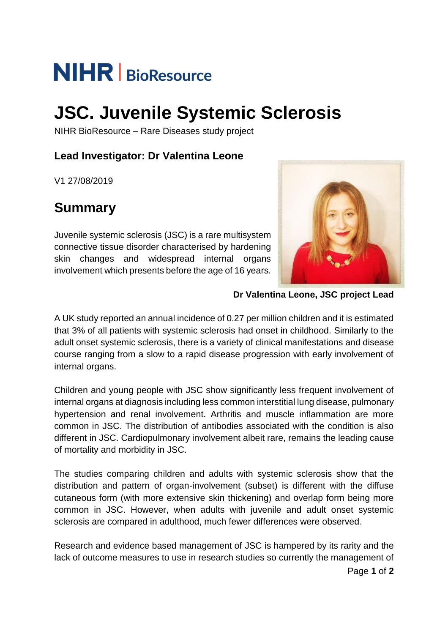# **NIHR** | BioResource

## **JSC. Juvenile Systemic Sclerosis**

NIHR BioResource – Rare Diseases study project

## **Lead Investigator: Dr Valentina Leone**

V1 27/08/2019

## **Summary**

Juvenile systemic sclerosis (JSC) is a rare multisystem connective tissue disorder characterised by hardening skin changes and widespread internal organs involvement which presents before the age of 16 years.



**Dr Valentina Leone, JSC project Lead**

A UK study reported an annual incidence of 0.27 per million children and it is estimated that 3% of all patients with systemic sclerosis had onset in childhood. Similarly to the adult onset systemic sclerosis, there is a variety of clinical manifestations and disease course ranging from a slow to a rapid disease progression with early involvement of internal organs.

Children and young people with JSC show significantly less frequent involvement of internal organs at diagnosis including less common interstitial lung disease, pulmonary hypertension and renal involvement. Arthritis and muscle inflammation are more common in JSC. The distribution of antibodies associated with the condition is also different in JSC. Cardiopulmonary involvement albeit rare, remains the leading cause of mortality and morbidity in JSC.

The studies comparing children and adults with systemic sclerosis show that the distribution and pattern of organ-involvement (subset) is different with the diffuse cutaneous form (with more extensive skin thickening) and overlap form being more common in JSC. However, when adults with juvenile and adult onset systemic sclerosis are compared in adulthood, much fewer differences were observed.

Research and evidence based management of JSC is hampered by its rarity and the lack of outcome measures to use in research studies so currently the management of